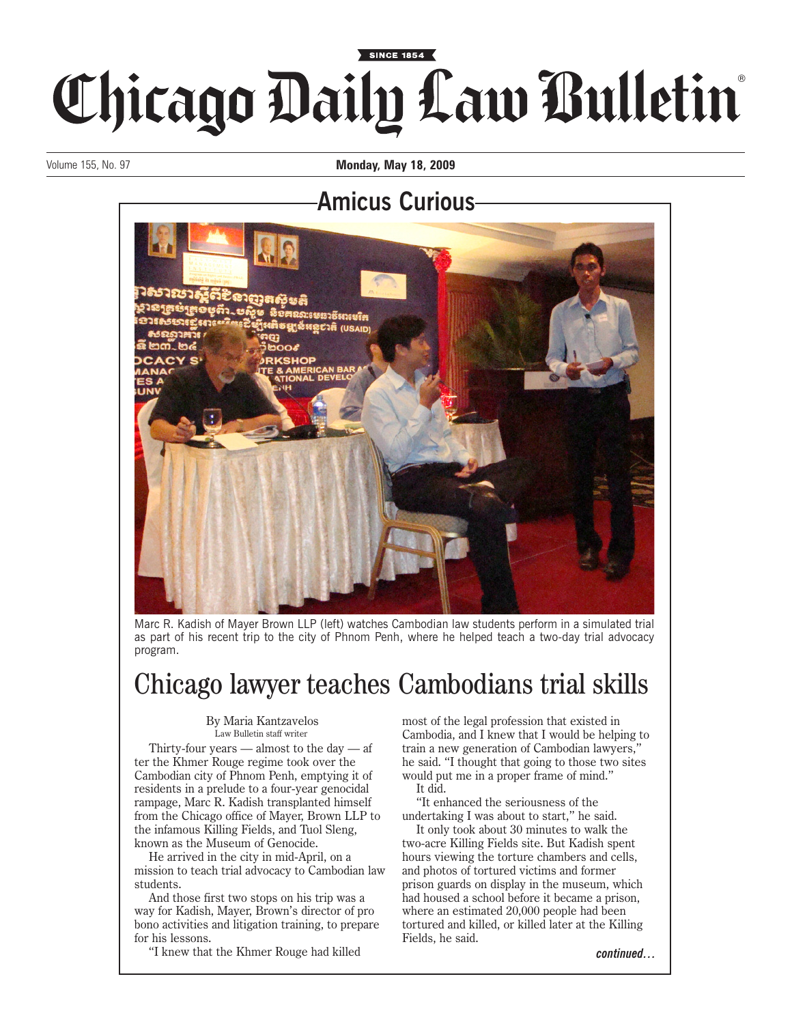## Chicago Daily Law Bulletin

Volume 155, No. 97 **Monday, May 18, 2009**

## **Amicus Curious**



Marc R. Kadish of Mayer Brown LLP (left) watches Cambodian law students perform in a simulated trial as part of his recent trip to the city of Phnom Penh, where he helped teach a two-day trial advocacy program.

## Chicago lawyer teaches Cambodians trial skills

## By Maria Kantzavelos Law Bulletin staff writer

Thirty-four years  $-$  almost to the day  $-$  af ter the Khmer Rouge regime took over the Cambodian city of Phnom Penh, emptying it of residents in a prelude to a four-year genocidal rampage, Marc R. Kadish transplanted himself from the Chicago office of Mayer, Brown LLP to the infamous Killing Fields, and Tuol Sleng, known as the Museum of Genocide.

He arrived in the city in mid-April, on a mission to teach trial advocacy to Cambodian law students.

And those first two stops on his trip was a way for Kadish, Mayer, Brown's director of pro bono activities and litigation training, to prepare for his lessons.

"I knew that the Khmer Rouge had killed

most of the legal profession that existed in Cambodia, and I knew that I would be helping to train a new generation of Cambodian lawyers," he said. "I thought that going to those two sites would put me in a proper frame of mind." It did.

"It enhanced the seriousness of the undertaking I was about to start," he said.

It only took about 30 minutes to walk the two-acre Killing Fields site. But Kadish spent hours viewing the torture chambers and cells, and photos of tortured victims and former prison guards on display in the museum, which had housed a school before it became a prison, where an estimated 20,000 people had been tortured and killed, or killed later at the Killing Fields, he said.

*continued…*